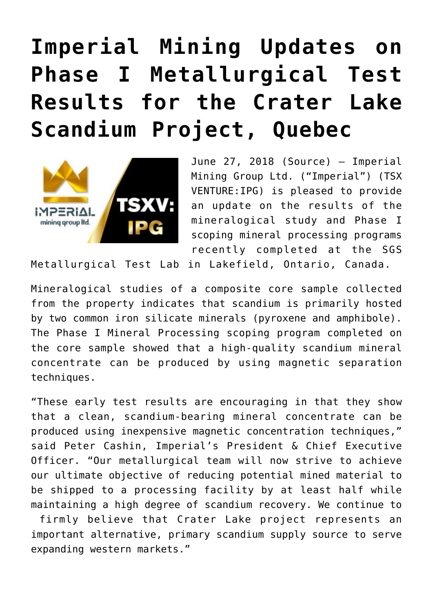## **[Imperial Mining Updates on](https://investorintel.com/markets/technology-metals/technology-metals-news/imperial-mining-updates-phase-metallurgical-test-results-crater-lake-scandium-project-quebec/) [Phase I Metallurgical Test](https://investorintel.com/markets/technology-metals/technology-metals-news/imperial-mining-updates-phase-metallurgical-test-results-crater-lake-scandium-project-quebec/) [Results for the Crater Lake](https://investorintel.com/markets/technology-metals/technology-metals-news/imperial-mining-updates-phase-metallurgical-test-results-crater-lake-scandium-project-quebec/) [Scandium Project, Quebec](https://investorintel.com/markets/technology-metals/technology-metals-news/imperial-mining-updates-phase-metallurgical-test-results-crater-lake-scandium-project-quebec/)**



June 27, 2018 ([Source](https://investorintel.com/iintel-members/imperial-mining-group-ltd/)) — Imperial Mining Group Ltd. ("Imperial") (TSX VENTURE:IPG) is pleased to provide an update on the results of the mineralogical study and Phase I scoping mineral processing programs recently completed at the SGS

Metallurgical Test Lab in Lakefield, Ontario, Canada.

Mineralogical studies of a composite core sample collected from the property indicates that scandium is primarily hosted by two common iron silicate minerals (pyroxene and amphibole). The Phase I Mineral Processing scoping program completed on the core sample showed that a high-quality scandium mineral concentrate can be produced by using magnetic separation techniques.

"These early test results are encouraging in that they show that a clean, scandium-bearing mineral concentrate can be produced using inexpensive magnetic concentration techniques," said Peter Cashin, Imperial's President & Chief Executive Officer. "Our metallurgical team will now strive to achieve our ultimate objective of reducing potential mined material to be shipped to a processing facility by at least half while maintaining a high degree of scandium recovery. We continue to firmly believe that Crater Lake project represents an

important alternative, primary scandium supply source to serve expanding western markets."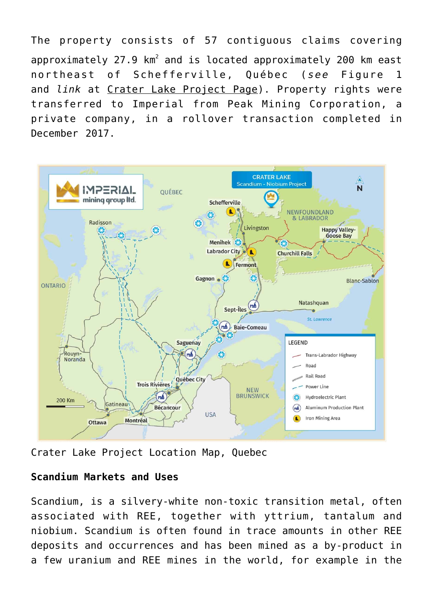The property consists of 57 contiguous claims covering  $\mathsf{approximately}$  27.9 km $^2$  and is located approximately 200 km east northeast of Schefferville, Québec (*see* Figure 1 and *link* at [Crater Lake Project Page\)](https://www.globenewswire.com/Tracker?data=XfZtTwHvpNgXPEpChE-o4fqQ94LJRWerbvxZ6-M-DT10UBtbqwpxTEpEDqdA53iAmly0xmzKwoedvr38p1k3Mi_FfyasPMFRWdZ38IzA7ZXbg80AtU6wyLUIamIflKZA). Property rights were transferred to Imperial from Peak Mining Corporation, a private company, in a rollover transaction completed in December 2017.



Crater Lake Project Location Map, Quebec

## **Scandium Markets and Uses**

Scandium, is a silvery-white non-toxic transition metal, often associated with REE, together with yttrium, tantalum and niobium. Scandium is often found in trace amounts in other REE deposits and occurrences and has been mined as a by-product in a few uranium and REE mines in the world, for example in the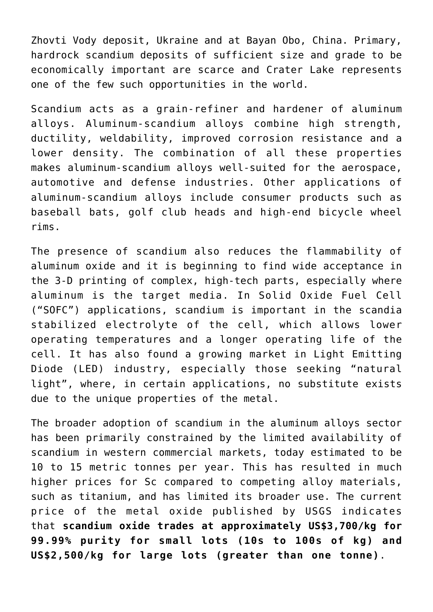Zhovti Vody deposit, Ukraine and at Bayan Obo, China. Primary, hardrock scandium deposits of sufficient size and grade to be economically important are scarce and Crater Lake represents one of the few such opportunities in the world.

Scandium acts as a grain-refiner and hardener of aluminum alloys. Aluminum-scandium alloys combine high strength, ductility, weldability, improved corrosion resistance and a lower density. The combination of all these properties makes aluminum-scandium alloys well-suited for the aerospace, automotive and defense industries. Other applications of aluminum-scandium alloys include consumer products such as baseball bats, golf club heads and high-end bicycle wheel rims.

The presence of scandium also reduces the flammability of aluminum oxide and it is beginning to find wide acceptance in the 3-D printing of complex, high-tech parts, especially where aluminum is the target media. In Solid Oxide Fuel Cell ("SOFC") applications, scandium is important in the scandia stabilized electrolyte of the cell, which allows lower operating temperatures and a longer operating life of the cell. It has also found a growing market in Light Emitting Diode (LED) industry, especially those seeking "natural light", where, in certain applications, no substitute exists due to the unique properties of the metal.

The broader adoption of scandium in the aluminum alloys sector has been primarily constrained by the limited availability of scandium in western commercial markets, today estimated to be 10 to 15 metric tonnes per year. This has resulted in much higher prices for Sc compared to competing alloy materials, such as titanium, and has limited its broader use. The current price of the metal oxide published by USGS indicates that **scandium oxide trades at approximately US\$3,700/kg for 99.99% purity for small lots (10s to 100s of kg) and US\$2,500/kg for large lots (greater than one tonne)**.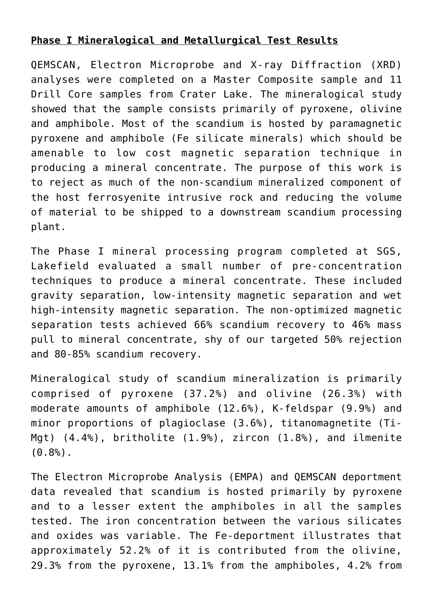## **Phase I Mineralogical and Metallurgical Test Results**

QEMSCAN, Electron Microprobe and X-ray Diffraction (XRD) analyses were completed on a Master Composite sample and 11 Drill Core samples from Crater Lake. The mineralogical study showed that the sample consists primarily of pyroxene, olivine and amphibole. Most of the scandium is hosted by paramagnetic pyroxene and amphibole (Fe silicate minerals) which should be amenable to low cost magnetic separation technique in producing a mineral concentrate. The purpose of this work is to reject as much of the non-scandium mineralized component of the host ferrosyenite intrusive rock and reducing the volume of material to be shipped to a downstream scandium processing plant.

The Phase I mineral processing program completed at SGS, Lakefield evaluated a small number of pre-concentration techniques to produce a mineral concentrate. These included gravity separation, low-intensity magnetic separation and wet high-intensity magnetic separation. The non-optimized magnetic separation tests achieved 66% scandium recovery to 46% mass pull to mineral concentrate, shy of our targeted 50% rejection and 80-85% scandium recovery.

Mineralogical study of scandium mineralization is primarily comprised of pyroxene (37.2%) and olivine (26.3%) with moderate amounts of amphibole (12.6%), K-feldspar (9.9%) and minor proportions of plagioclase (3.6%), titanomagnetite (Ti-Mgt) (4.4%), britholite (1.9%), zircon (1.8%), and ilmenite  $(0.8%).$ 

The Electron Microprobe Analysis (EMPA) and QEMSCAN deportment data revealed that scandium is hosted primarily by pyroxene and to a lesser extent the amphiboles in all the samples tested. The iron concentration between the various silicates and oxides was variable. The Fe-deportment illustrates that approximately 52.2% of it is contributed from the olivine, 29.3% from the pyroxene, 13.1% from the amphiboles, 4.2% from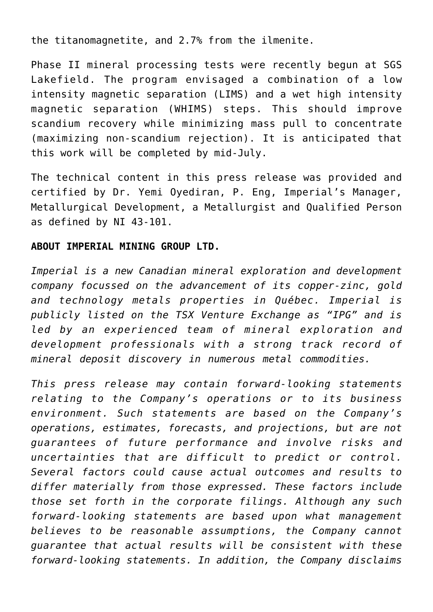the titanomagnetite, and 2.7% from the ilmenite.

Phase II mineral processing tests were recently begun at SGS Lakefield. The program envisaged a combination of a low intensity magnetic separation (LIMS) and a wet high intensity magnetic separation (WHIMS) steps. This should improve scandium recovery while minimizing mass pull to concentrate (maximizing non-scandium rejection). It is anticipated that this work will be completed by mid-July.

The technical content in this press release was provided and certified by Dr. Yemi Oyediran, P. Eng, Imperial's Manager, Metallurgical Development, a Metallurgist and Qualified Person as defined by NI 43-101.

## **ABOUT IMPERIAL MINING GROUP LTD.**

*Imperial is a new Canadian mineral exploration and development company focussed on the advancement of its copper-zinc, gold and technology metals properties in Québec. Imperial is publicly listed on the TSX Venture Exchange as "IPG" and is led by an experienced team of mineral exploration and development professionals with a strong track record of mineral deposit discovery in numerous metal commodities.*

*This press release may contain forward-looking statements relating to the Company's operations or to its business environment. Such statements are based on the Company's operations, estimates, forecasts, and projections, but are not guarantees of future performance and involve risks and uncertainties that are difficult to predict or control. Several factors could cause actual outcomes and results to differ materially from those expressed. These factors include those set forth in the corporate filings. Although any such forward-looking statements are based upon what management believes to be reasonable assumptions, the Company cannot guarantee that actual results will be consistent with these forward-looking statements. In addition, the Company disclaims*